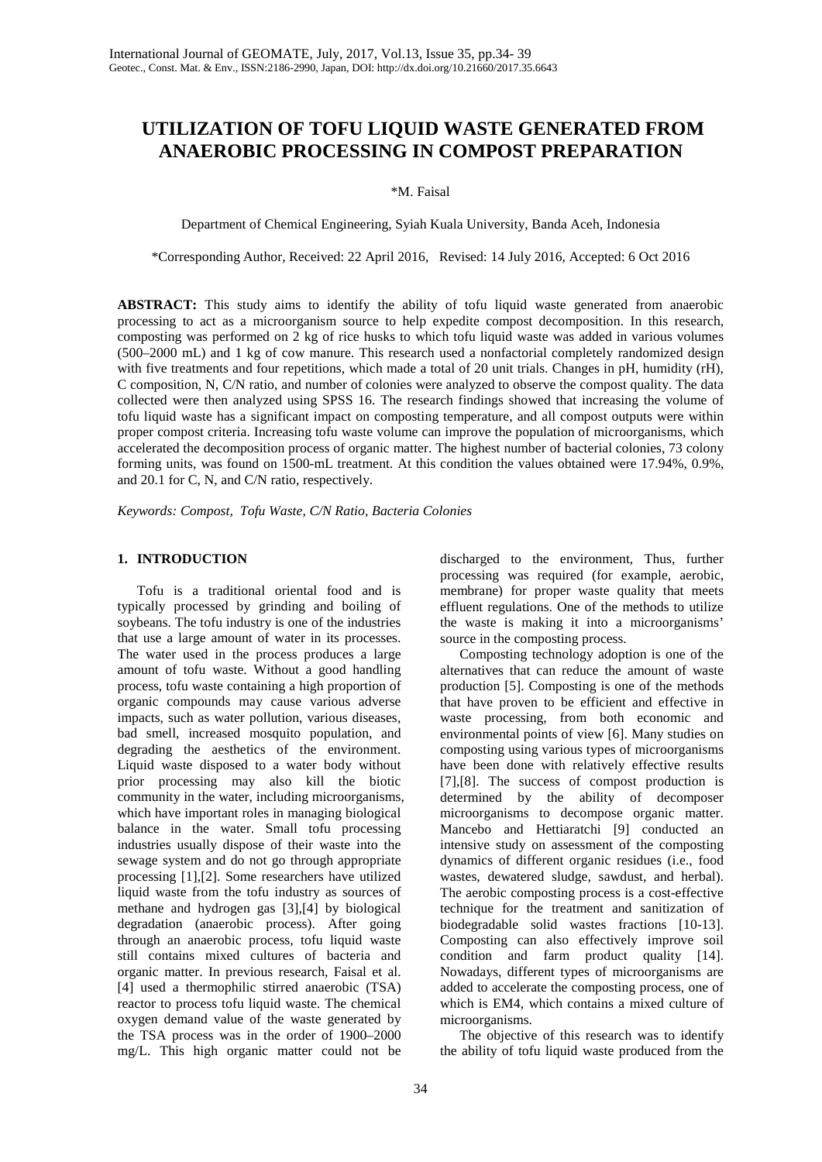# **UTILIZATION OF TOFU LIQUID WASTE GENERATED FROM ANAEROBIC PROCESSING IN COMPOST PREPARATION**

\*M. Faisal

Department of Chemical Engineering, Syiah Kuala University, Banda Aceh, Indonesia

\*Corresponding Author, Received: 22 April 2016, Revised: 14 July 2016, Accepted: 6 Oct 2016

**ABSTRACT:** This study aims to identify the ability of tofu liquid waste generated from anaerobic processing to act as a microorganism source to help expedite compost decomposition. In this research, composting was performed on 2 kg of rice husks to which tofu liquid waste was added in various volumes (500–2000 mL) and 1 kg of cow manure. This research used a nonfactorial completely randomized design with five treatments and four repetitions, which made a total of 20 unit trials. Changes in pH, humidity (rH), C composition, N, C/N ratio, and number of colonies were analyzed to observe the compost quality. The data collected were then analyzed using SPSS 16. The research findings showed that increasing the volume of tofu liquid waste has a significant impact on composting temperature, and all compost outputs were within proper compost criteria. Increasing tofu waste volume can improve the population of microorganisms, which accelerated the decomposition process of organic matter. The highest number of bacterial colonies, 73 colony forming units, was found on 1500-mL treatment. At this condition the values obtained were 17.94%, 0.9%, and 20.1 for C, N, and C/N ratio, respectively.

*Keywords: Compost, Tofu Waste, C/N Ratio, Bacteria Colonies*

# **1. INTRODUCTION**

Tofu is a traditional oriental food and is typically processed by grinding and boiling of soybeans. The tofu industry is one of the industries that use a large amount of water in its processes. The water used in the process produces a large amount of tofu waste. Without a good handling process, tofu waste containing a high proportion of organic compounds may cause various adverse impacts, such as water pollution, various diseases, bad smell, increased mosquito population, and degrading the aesthetics of the environment. Liquid waste disposed to a water body without prior processing may also kill the biotic community in the water, including microorganisms, which have important roles in managing biological balance in the water. Small tofu processing industries usually dispose of their waste into the sewage system and do not go through appropriate processing [1],[2]. Some researchers have utilized liquid waste from the tofu industry as sources of methane and hydrogen gas [3],[4] by biological degradation (anaerobic process). After going through an anaerobic process, tofu liquid waste still contains mixed cultures of bacteria and organic matter. In previous research, Faisal et al. [4] used a thermophilic stirred anaerobic (TSA) reactor to process tofu liquid waste. The chemical oxygen demand value of the waste generated by the TSA process was in the order of 1900–2000 mg/L. This high organic matter could not be

discharged to the environment, Thus, further processing was required (for example, aerobic, membrane) for proper waste quality that meets effluent regulations. One of the methods to utilize the waste is making it into a microorganisms' source in the composting process.

Composting technology adoption is one of the alternatives that can reduce the amount of waste production [5]. Composting is one of the methods that have proven to be efficient and effective in waste processing, from both economic and environmental points of view [6]. Many studies on composting using various types of microorganisms have been done with relatively effective results [7],[8]. The success of compost production is determined by the ability of decomposer microorganisms to decompose organic matter. Mancebo and Hettiaratchi [9] conducted an intensive study on assessment of the composting dynamics of different organic residues (i.e., food wastes, dewatered sludge, sawdust, and herbal). The aerobic composting process is a cost-effective technique for the treatment and sanitization of biodegradable solid wastes fractions [10-13]. Composting can also effectively improve soil condition and farm product quality [14]. Nowadays, different types of microorganisms are added to accelerate the composting process, one of which is EM4, which contains a mixed culture of microorganisms.

The objective of this research was to identify the ability of tofu liquid waste produced from the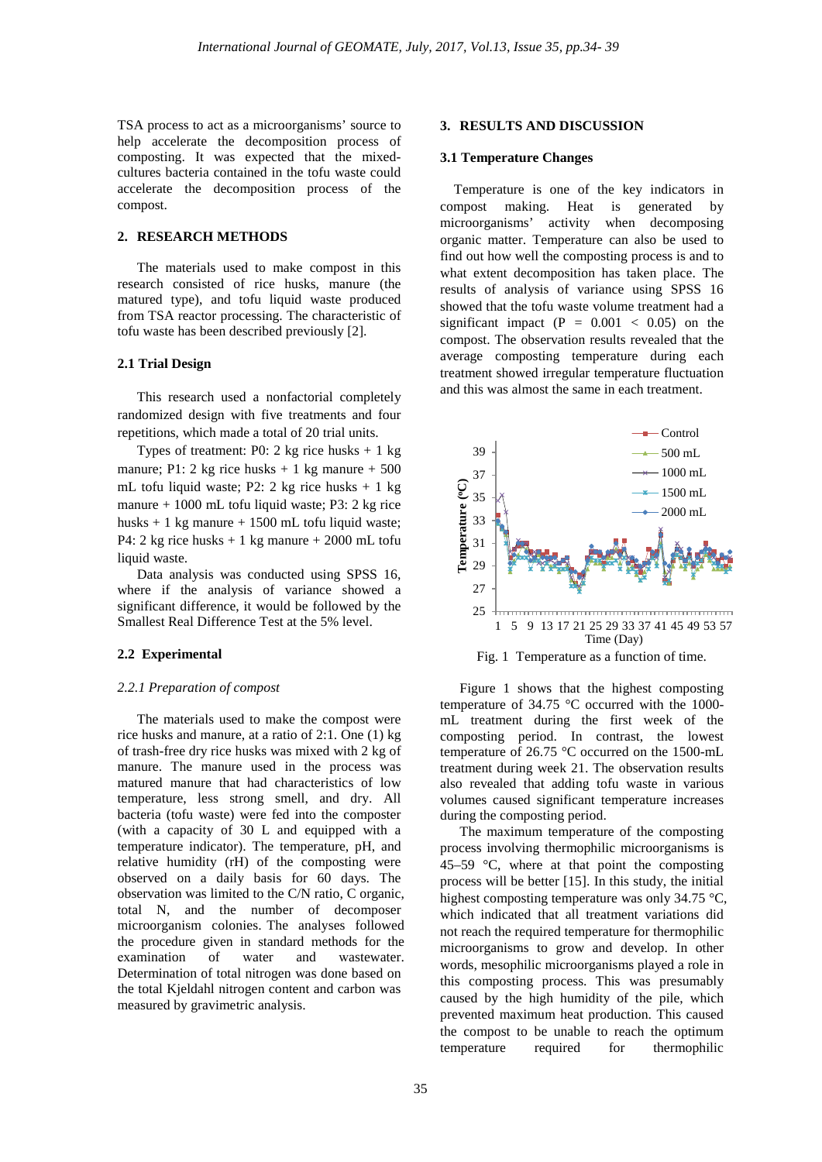TSA process to act as a microorganisms' source to help accelerate the decomposition process of composting. It was expected that the mixedcultures bacteria contained in the tofu waste could accelerate the decomposition process of the compost.

## **2. RESEARCH METHODS**

The materials used to make compost in this research consisted of rice husks, manure (the matured type), and tofu liquid waste produced from TSA reactor processing. The characteristic of tofu waste has been described previously [2].

#### **2.1 Trial Design**

This research used a nonfactorial completely randomized design with five treatments and four repetitions, which made a total of 20 trial units.

Types of treatment: P0: 2 kg rice husks + 1 kg manure; P1: 2 kg rice husks  $+1$  kg manure  $+500$ mL tofu liquid waste; P2: 2 kg rice husks + 1 kg manure + 1000 mL tofu liquid waste; P3: 2 kg rice husks  $+1$  kg manure  $+1500$  mL tofu liquid waste; P4: 2 kg rice husks  $+1$  kg manure  $+2000$  mL tofu liquid waste.

Data analysis was conducted using SPSS 16, where if the analysis of variance showed a significant difference, it would be followed by the Smallest Real Difference Test at the 5% level.

#### **2.2 Experimental**

#### *2.2.1 Preparation of compost*

The materials used to make the compost were rice husks and manure, at a ratio of 2:1. One (1) kg of trash-free dry rice husks was mixed with 2 kg of manure. The manure used in the process was matured manure that had characteristics of low temperature, less strong smell, and dry. All bacteria (tofu waste) were fed into the composter (with a capacity of 30 L and equipped with a temperature indicator). The temperature, pH, and relative humidity (rH) of the composting were observed on a daily basis for 60 days. The observation was limited to the C/N ratio, C organic, total N, and the number of decomposer microorganism colonies. The analyses followed the procedure given in standard methods for the examination of water and wastewater. Determination of total nitrogen was done based on the total Kjeldahl nitrogen content and carbon was measured by gravimetric analysis.

#### **3. RESULTS AND DISCUSSION**

#### **3.1 Temperature Changes**

 Temperature is one of the key indicators in compost making. Heat is generated by microorganisms' activity when decomposing organic matter. Temperature can also be used to find out how well the composting process is and to what extent decomposition has taken place. The results of analysis of variance using SPSS 16 showed that the tofu waste volume treatment had a significant impact  $(P = 0.001 < 0.05)$  on the compost. The observation results revealed that the average composting temperature during each treatment showed irregular temperature fluctuation and this was almost the same in each treatment.



Fig. 1 Temperature as a function of time.

Figure 1 shows that the highest composting temperature of 34.75 °C occurred with the 1000 mL treatment during the first week of the composting period. In contrast, the lowest temperature of 26.75 °C occurred on the 1500-mL treatment during week 21. The observation results also revealed that adding tofu waste in various volumes caused significant temperature increases during the composting period.

The maximum temperature of the composting process involving thermophilic microorganisms is 45–59  $\degree$ C, where at that point the composting process will be better [15]. In this study, the initial highest composting temperature was only 34.75 °C, which indicated that all treatment variations did not reach the required temperature for thermophilic microorganisms to grow and develop. In other words, mesophilic microorganisms played a role in this composting process. This was presumably caused by the high humidity of the pile, which prevented maximum heat production. This caused the compost to be unable to reach the optimum temperature required for thermophilic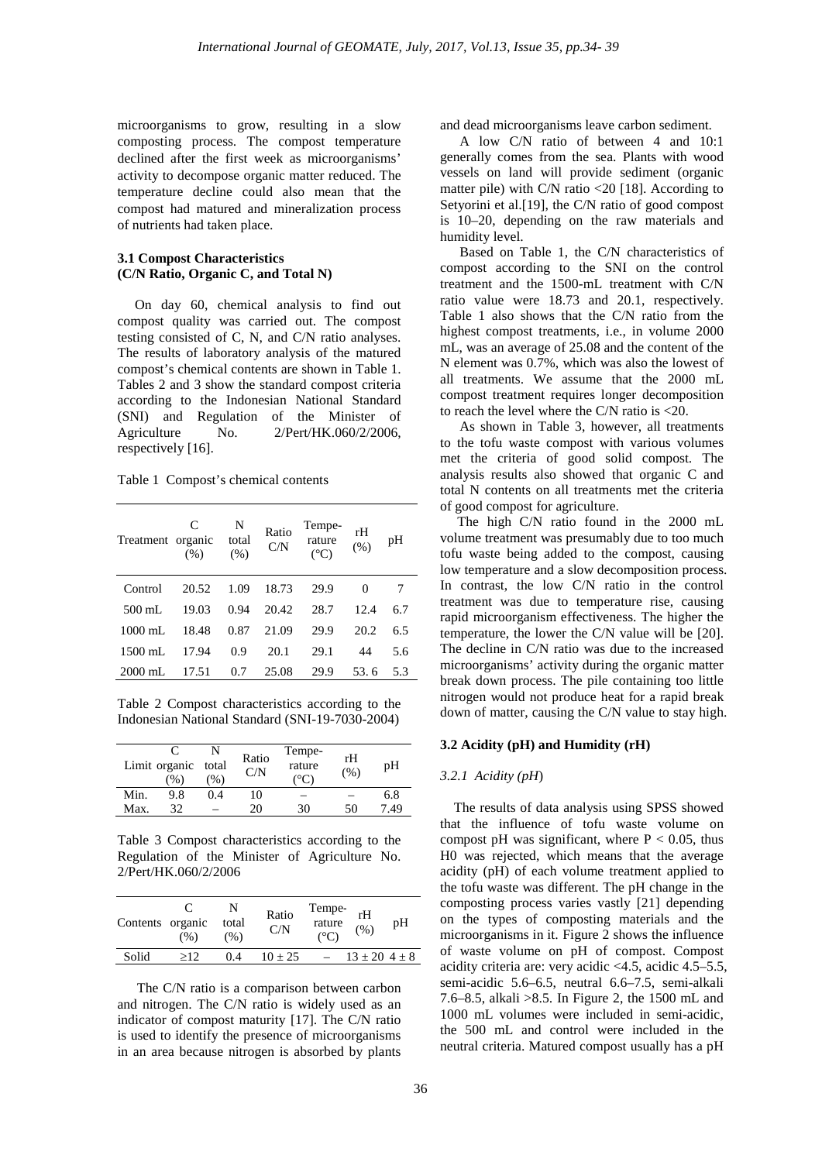microorganisms to grow, resulting in a slow composting process. The compost temperature declined after the first week as microorganisms' activity to decompose organic matter reduced. The temperature decline could also mean that the compost had matured and mineralization process of nutrients had taken place.

#### **3.1 Compost Characteristics (C/N Ratio, Organic C, and Total N)**

 On day 60, chemical analysis to find out compost quality was carried out. The compost testing consisted of C, N, and C/N ratio analyses. The results of laboratory analysis of the matured compost's chemical contents are shown in Table 1. Tables 2 and 3 show the standard compost criteria according to the Indonesian National Standard (SNI) and Regulation of the Minister of Agriculture No. 2/Pert/HK.060/2/2006, respectively [16].

Table 1 Compost's chemical contents

| Treatment organic | C<br>(% ) | N<br>total<br>(% ) | Ratio<br>C/N | Tempe-<br>rature<br>$({}^{\circ}C)$ | rH<br>(% ) | pН  |
|-------------------|-----------|--------------------|--------------|-------------------------------------|------------|-----|
| Control           | 20.52     | 1.09               | 18.73        | 29.9                                | $\theta$   |     |
| $500 \text{ mL}$  | 19.03     | 0.94               | 20.42        | 28.7                                | 12.4       | 6.7 |
| $1000 \text{ mL}$ | 18.48     | 0.87               | 21.09        | 29.9                                | 20.2       | 6.5 |
| $1500 \text{ mL}$ | 17.94     | 0.9                | 20.1         | 29.1                                | 44         | 5.6 |
| $2000 \text{ mL}$ | 17.51     | 0.7                | 25.08        | 29.9                                | 53.6       | 5.3 |

Table 2 Compost characteristics according to the Indonesian National Standard (SNI-19-7030-2004)

|      | Limit organic<br>(%) | total<br>$(\%)$ | Ratio<br>C/N | Tempe-<br>rature<br>. °C | rH<br>(%) | pH   |
|------|----------------------|-----------------|--------------|--------------------------|-----------|------|
| Min. | 9.8                  | 0.4             | 10           |                          |           | 6.8  |
| Max. | 32                   |                 | 20           | 30                       | 50        | 7.49 |

Table 3 Compost characteristics according to the Regulation of the Minister of Agriculture No. 2/Pert/HK.060/2/2006

| Contents organic | (% ) | N<br>total<br>(% ) | Ratio<br>C/N | Tempe-<br>rature<br>$(^{\circ}C)$ | rH<br>(% )            | pH |
|------------------|------|--------------------|--------------|-----------------------------------|-----------------------|----|
| Solid            | >12  | 0.4                | $10 + 25$    |                                   | $13 \pm 20$ 4 $\pm$ 8 |    |

The C/N ratio is a comparison between carbon and nitrogen. The C/N ratio is widely used as an indicator of compost maturity [17]. The C/N ratio is used to identify the presence of microorganisms in an area because nitrogen is absorbed by plants and dead microorganisms leave carbon sediment.

A low C/N ratio of between 4 and 10:1 generally comes from the sea. Plants with wood vessels on land will provide sediment (organic matter pile) with C/N ratio <20 [18]. According to Setyorini et al.[19], the C/N ratio of good compost is 10–20, depending on the raw materials and humidity level.

Based on Table 1, the C/N characteristics of compost according to the SNI on the control treatment and the 1500-mL treatment with C/N ratio value were 18.73 and 20.1, respectively. Table 1 also shows that the C/N ratio from the highest compost treatments, i.e., in volume 2000 mL, was an average of 25.08 and the content of the N element was 0.7%, which was also the lowest of all treatments. We assume that the 2000 mL compost treatment requires longer decomposition to reach the level where the C/N ratio is <20.

As shown in Table 3, however, all treatments to the tofu waste compost with various volumes met the criteria of good solid compost. The analysis results also showed that organic C and total N contents on all treatments met the criteria of good compost for agriculture.

 The high C/N ratio found in the 2000 mL volume treatment was presumably due to too much tofu waste being added to the compost, causing low temperature and a slow decomposition process. In contrast, the low C/N ratio in the control treatment was due to temperature rise, causing rapid microorganism effectiveness. The higher the temperature, the lower the C/N value will be [20]. The decline in C/N ratio was due to the increased microorganisms' activity during the organic matter break down process. The pile containing too little nitrogen would not produce heat for a rapid break down of matter, causing the C/N value to stay high.

#### **3.2 Acidity (pH) and Humidity (rH)**

## *3.2.1 Acidity (pH*)

 The results of data analysis using SPSS showed that the influence of tofu waste volume on compost pH was significant, where  $P < 0.05$ , thus H0 was rejected, which means that the average acidity (pH) of each volume treatment applied to the tofu waste was different. The pH change in the composting process varies vastly [21] depending on the types of composting materials and the microorganisms in it. Figure 2 shows the influence of waste volume on pH of compost. Compost acidity criteria are: very acidic <4.5, acidic 4.5–5.5, semi-acidic 5.6–6.5, neutral 6.6–7.5, semi-alkali 7.6–8.5, alkali >8.5. In Figure 2, the 1500 mL and 1000 mL volumes were included in semi-acidic, the 500 mL and control were included in the neutral criteria. Matured compost usually has a pH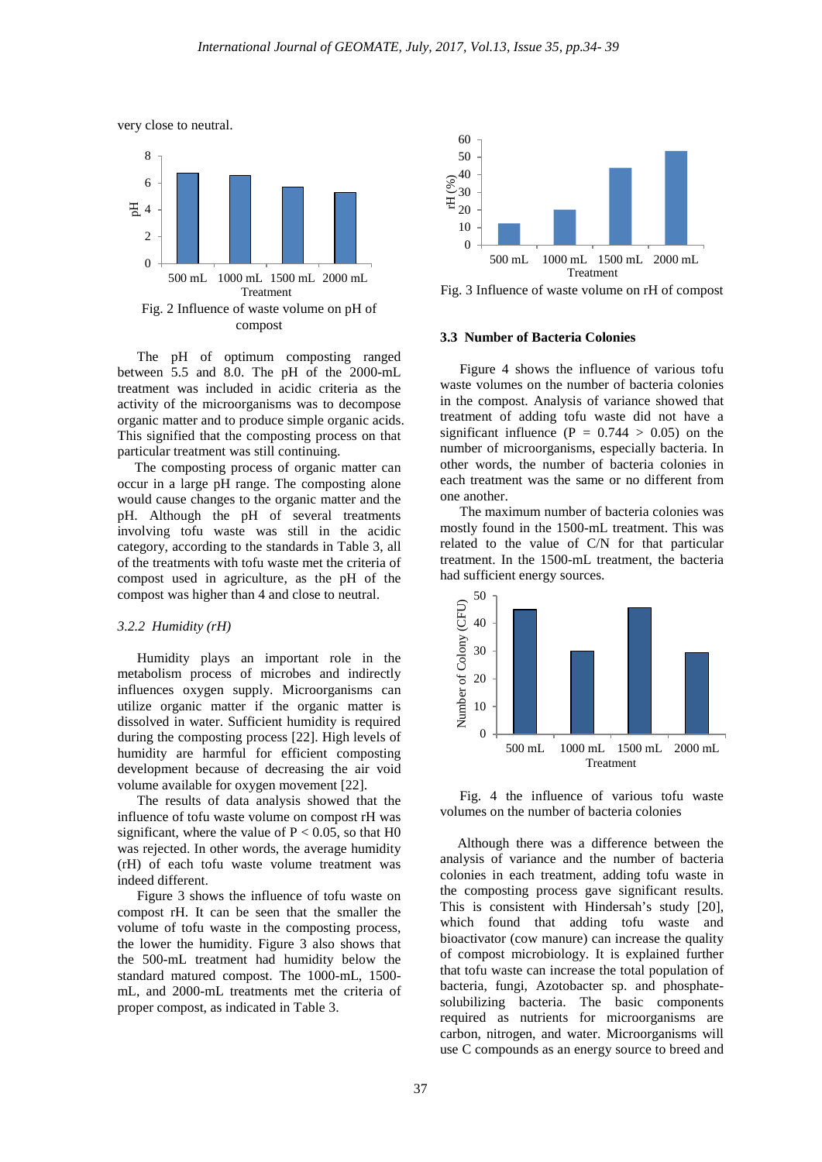



The pH of optimum composting ranged between 5.5 and 8.0. The pH of the 2000-mL treatment was included in acidic criteria as the activity of the microorganisms was to decompose organic matter and to produce simple organic acids. This signified that the composting process on that particular treatment was still continuing.

 The composting process of organic matter can occur in a large pH range. The composting alone would cause changes to the organic matter and the pH. Although the pH of several treatments involving tofu waste was still in the acidic category, according to the standards in Table 3, all of the treatments with tofu waste met the criteria of compost used in agriculture, as the pH of the compost was higher than 4 and close to neutral.

#### *3.2.2 Humidity (rH)*

Humidity plays an important role in the metabolism process of microbes and indirectly influences oxygen supply. Microorganisms can utilize organic matter if the organic matter is dissolved in water. Sufficient humidity is required during the composting process [22]. High levels of humidity are harmful for efficient composting development because of decreasing the air void volume available for oxygen movement [22].

The results of data analysis showed that the influence of tofu waste volume on compost rH was significant, where the value of  $P < 0.05$ , so that H0 was rejected. In other words, the average humidity (rH) of each tofu waste volume treatment was indeed different.

Figure 3 shows the influence of tofu waste on compost rH. It can be seen that the smaller the volume of tofu waste in the composting process, the lower the humidity. Figure 3 also shows that the 500-mL treatment had humidity below the standard matured compost. The 1000-mL, 1500 mL, and 2000-mL treatments met the criteria of proper compost, as indicated in Table 3.



Fig. 3 Influence of waste volume on rH of compost

## **3.3 Number of Bacteria Colonies**

Figure 4 shows the influence of various tofu waste volumes on the number of bacteria colonies in the compost. Analysis of variance showed that treatment of adding tofu waste did not have a significant influence ( $P = 0.744 > 0.05$ ) on the number of microorganisms, especially bacteria. In other words, the number of bacteria colonies in each treatment was the same or no different from one another.

The maximum number of bacteria colonies was mostly found in the 1500-mL treatment. This was related to the value of C/N for that particular treatment. In the 1500-mL treatment, the bacteria had sufficient energy sources.



Fig. 4 the influence of various tofu waste volumes on the number of bacteria colonies

 Although there was a difference between the analysis of variance and the number of bacteria colonies in each treatment, adding tofu waste in the composting process gave significant results. This is consistent with Hindersah's study [20], which found that adding tofu waste and bioactivator (cow manure) can increase the quality of compost microbiology. It is explained further that tofu waste can increase the total population of bacteria, fungi, Azotobacter sp. and phosphatesolubilizing bacteria. The basic components required as nutrients for microorganisms are carbon, nitrogen, and water. Microorganisms will use C compounds as an energy source to breed and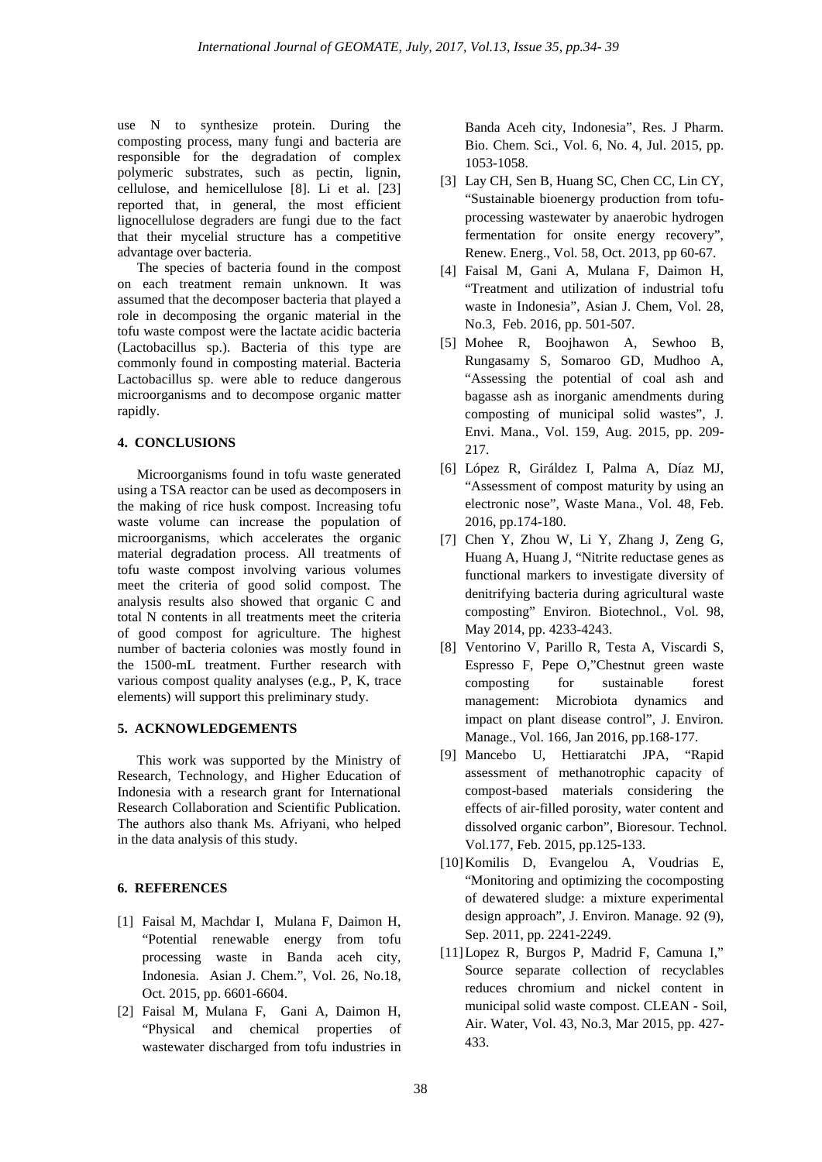use N to synthesize protein. During the composting process, many fungi and bacteria are responsible for the degradation of complex polymeric substrates, such as pectin, lignin, cellulose, and hemicellulose [8]. Li et al. [23] reported that, in general, the most efficient lignocellulose degraders are fungi due to the fact that their mycelial structure has a competitive advantage over bacteria.

The species of bacteria found in the compost on each treatment remain unknown. It was assumed that the decomposer bacteria that played a role in decomposing the organic material in the tofu waste compost were the lactate acidic bacteria (Lactobacillus sp.). Bacteria of this type are commonly found in composting material. Bacteria Lactobacillus sp. were able to reduce dangerous microorganisms and to decompose organic matter rapidly.

## **4. CONCLUSIONS**

Microorganisms found in tofu waste generated using a TSA reactor can be used as decomposers in the making of rice husk compost. Increasing tofu waste volume can increase the population of microorganisms, which accelerates the organic material degradation process. All treatments of tofu waste compost involving various volumes meet the criteria of good solid compost. The analysis results also showed that organic C and total N contents in all treatments meet the criteria of good compost for agriculture. The highest number of bacteria colonies was mostly found in the 1500-mL treatment. Further research with various compost quality analyses (e.g., P, K, trace elements) will support this preliminary study.

# **5. ACKNOWLEDGEMENTS**

This work was supported by the Ministry of Research, Technology, and Higher Education of Indonesia with a research grant for International Research Collaboration and Scientific Publication. The authors also thank Ms. Afriyani, who helped in the data analysis of this study.

# **6. REFERENCES**

- [1] Faisal M, Machdar I, Mulana F, Daimon H, "Potential renewable energy from tofu processing waste in Banda aceh city, Indonesia. Asian J. Chem.", Vol. 26, No.18, Oct. 2015, pp. 6601-6604.
- [2] Faisal M, Mulana F, Gani A, Daimon H, "Physical and chemical properties of wastewater discharged from tofu industries in

Banda Aceh city, Indonesia", Res. J Pharm. Bio. Chem. Sci., Vol. 6, No. 4, Jul. 2015, pp. 1053-1058.

- [3] Lay CH, Sen B, Huang SC, Chen CC, Lin CY, "Sustainable bioenergy production from tofuprocessing wastewater by anaerobic hydrogen fermentation for onsite energy recovery", Renew. Energ., Vol. 58, Oct. 2013, pp 60-67.
- [4] Faisal M, Gani A, Mulana F, Daimon H, "Treatment and utilization of industrial tofu waste in Indonesia", Asian J. Chem, Vol. 28, No.3, Feb. 2016, pp. 501-507.
- [5] Mohee R, Boojhawon A, Sewhoo B, Rungasamy S, Somaroo GD, Mudhoo A, "Assessing the potential of coal ash and bagasse ash as inorganic amendments during composting of municipal solid wastes", J. Envi. Mana., Vol. 159, Aug. 2015, pp. 209- 217.
- [6] López R, Giráldez I, Palma A, Díaz MJ, "Assessment of compost maturity by using an electronic nose", Waste Mana., Vol. 48, Feb. 2016, pp.174-180.
- [7] Chen Y, Zhou W, Li Y, Zhang J, Zeng G, Huang A, Huang J, "Nitrite reductase genes as functional markers to investigate diversity of denitrifying bacteria during agricultural waste composting" Environ. Biotechnol., Vol. 98, May 2014, pp. 4233-4243.
- [8] Ventorino V, Parillo R, Testa A, Viscardi S, Espresso F, Pepe O,"Chestnut green waste composting for sustainable forest management: Microbiota dynamics and impact on plant disease control", J. Environ. Manage., Vol. 166, Jan 2016, pp.168-177.
- [9] Mancebo U, Hettiaratchi JPA, "Rapid assessment of methanotrophic capacity of compost-based materials considering the effects of air-filled porosity, water content and dissolved organic carbon", Bioresour. Technol. Vol.177, Feb. 2015, pp.125-133.
- [10]Komilis D, Evangelou A, Voudrias E, "Monitoring and optimizing the cocomposting of dewatered sludge: a mixture experimental design approach", J. Environ. Manage. 92 (9), Sep. 2011, pp. 2241-2249.
- [11]Lopez R, Burgos P, Madrid F, Camuna I," Source separate collection of recyclables reduces chromium and nickel content in municipal solid waste compost. CLEAN - Soil, Air. Water, Vol. 43, No.3, Mar 2015, pp. 427- 433.